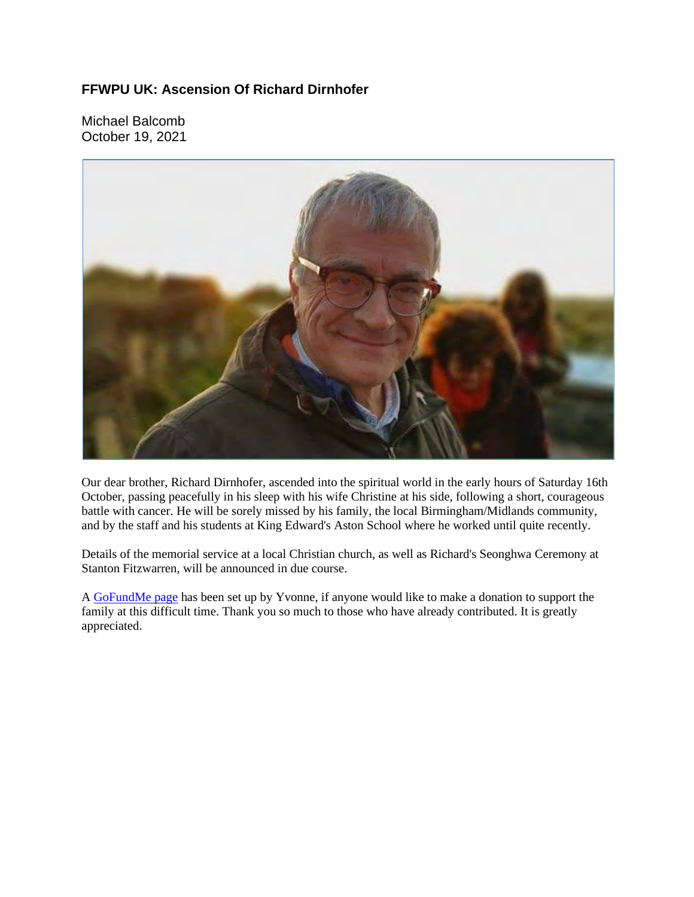## **FFWPU UK: Ascension Of Richard Dirnhofer**

Michael Balcomb October 19, 2021



Our dear brother, Richard Dirnhofer, ascended into the spiritual world in the early hours of Saturday 16th October, passing peacefully in his sleep with his wife Christine at his side, following a short, courageous battle with cancer. He will be sorely missed by his family, the local Birmingham/Midlands community, and by the staff and his students at King Edward's Aston School where he worked until quite recently.

Details of the memorial service at a local Christian church, as well as Richard's Seonghwa Ceremony at Stanton Fitzwarren, will be announced in due course.

A GoFundMe page has been set up by Yvonne, if anyone would like to make a donation to support the family at this difficult time. Thank you so much to those who have already contributed. It is greatly appreciated.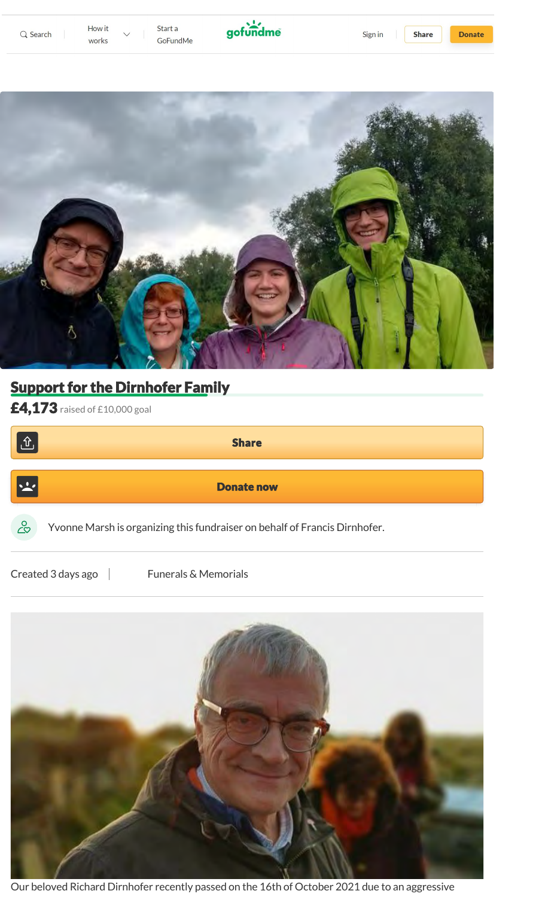



## **Support for the Dirnhofer Family**

£4,173 raised of £10,000 goal

| <u>쇼</u>      | <b>Share</b>                                                               |  |
|---------------|----------------------------------------------------------------------------|--|
| $\frac{1}{2}$ | <b>Donate now</b>                                                          |  |
| $\infty$      | Yvonne Marsh is organizing this fundraiser on behalf of Francis Dirnhofer. |  |
|               | Created 3 days ago<br><b>Funerals &amp; Memorials</b>                      |  |



Our beloved Richard Dirnhofer recently passed on the 16th of October 2021 due to an aggressive